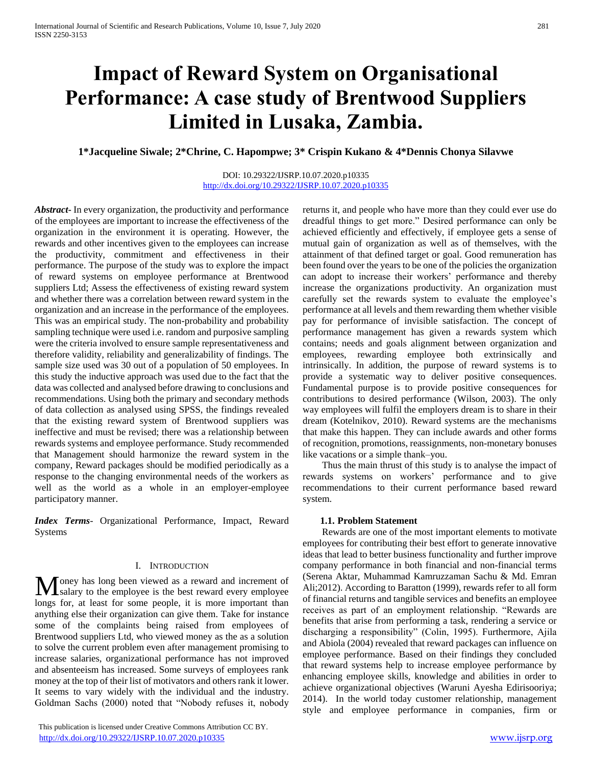# **Impact of Reward System on Organisational Performance: A case study of Brentwood Suppliers Limited in Lusaka, Zambia.**

### **1\*Jacqueline Siwale; 2\*Chrine, C. Hapompwe; 3\* Crispin Kukano & 4\*Dennis Chonya Silavwe**

#### DOI: 10.29322/IJSRP.10.07.2020.p10335 <http://dx.doi.org/10.29322/IJSRP.10.07.2020.p10335>

*Abstract***-** In every organization, the productivity and performance of the employees are important to increase the effectiveness of the organization in the environment it is operating. However, the rewards and other incentives given to the employees can increase the productivity, commitment and effectiveness in their performance. The purpose of the study was to explore the impact of reward systems on employee performance at Brentwood suppliers Ltd; Assess the effectiveness of existing reward system and whether there was a correlation between reward system in the organization and an increase in the performance of the employees. This was an empirical study. The non-probability and probability sampling technique were used i.e. random and purposive sampling were the criteria involved to ensure sample representativeness and therefore validity, reliability and generalizability of findings. The sample size used was 30 out of a population of 50 employees. In this study the inductive approach was used due to the fact that the data was collected and analysed before drawing to conclusions and recommendations. Using both the primary and secondary methods of data collection as analysed using SPSS, the findings revealed that the existing reward system of Brentwood suppliers was ineffective and must be revised; there was a relationship between rewards systems and employee performance. Study recommended that Management should harmonize the reward system in the company, Reward packages should be modified periodically as a response to the changing environmental needs of the workers as well as the world as a whole in an employer-employee participatory manner.

*Index Terms*- Organizational Performance, Impact, Reward Systems

#### I. INTRODUCTION

Toney has long been viewed as a reward and increment of **M** oney has long been viewed as a reward and increment of salary to the employee is the best reward every employee longs for, at least for some people, it is more important than anything else their organization can give them. Take for instance some of the complaints being raised from employees of Brentwood suppliers Ltd, who viewed money as the as a solution to solve the current problem even after management promising to increase salaries, organizational performance has not improved and absenteeism has increased. Some surveys of employees rank money at the top of their list of motivators and others rank it lower. It seems to vary widely with the individual and the industry. Goldman Sachs (2000) noted that "Nobody refuses it, nobody

 This publication is licensed under Creative Commons Attribution CC BY. <http://dx.doi.org/10.29322/IJSRP.10.07.2020.p10335> [www.ijsrp.org](http://ijsrp.org/)

returns it, and people who have more than they could ever use do dreadful things to get more." Desired performance can only be achieved efficiently and effectively, if employee gets a sense of mutual gain of organization as well as of themselves, with the attainment of that defined target or goal. Good remuneration has been found over the years to be one of the policies the organization can adopt to increase their workers' performance and thereby increase the organizations productivity. An organization must carefully set the rewards system to evaluate the employee's performance at all levels and them rewarding them whether visible pay for performance of invisible satisfaction. The concept of performance management has given a rewards system which contains; needs and goals alignment between organization and employees, rewarding employee both extrinsically and intrinsically. In addition, the purpose of reward systems is to provide a systematic way to deliver positive consequences. Fundamental purpose is to provide positive consequences for contributions to desired performance (Wilson, 2003). The only way employees will fulfil the employers dream is to share in their dream (Kotelnikov, 2010). Reward systems are the mechanisms that make this happen. They can include awards and other forms of recognition, promotions, reassignments, non-monetary bonuses like vacations or a simple thank–you.

 Thus the main thrust of this study is to analyse the impact of rewards systems on workers' performance and to give recommendations to their current performance based reward system.

#### **1.1. Problem Statement**

 Rewards are one of the most important elements to motivate employees for contributing their best effort to generate innovative ideas that lead to better business functionality and further improve company performance in both financial and non-financial terms (Serena Aktar, Muhammad Kamruzzaman Sachu & Md. Emran Ali;2012). According to Baratton (1999), rewards refer to all form of financial returns and tangible services and benefits an employee receives as part of an employment relationship. "Rewards are benefits that arise from performing a task, rendering a service or discharging a responsibility" (Colin, 1995). Furthermore, Ajila and Abiola (2004) revealed that reward packages can influence on employee performance. Based on their findings they concluded that reward systems help to increase employee performance by enhancing employee skills, knowledge and abilities in order to achieve organizational objectives (Waruni Ayesha Edirisooriya; 2014). In the world today customer relationship, management style and employee performance in companies, firm or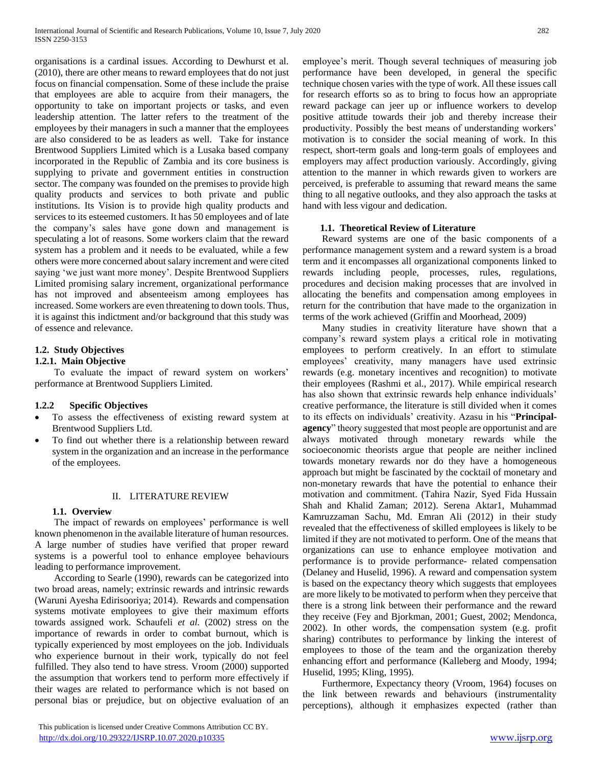organisations is a cardinal issues. According to Dewhurst et al. (2010), there are other means to reward employees that do not just focus on financial compensation. Some of these include the praise that employees are able to acquire from their managers, the opportunity to take on important projects or tasks, and even leadership attention. The latter refers to the treatment of the employees by their managers in such a manner that the employees are also considered to be as leaders as well. Take for instance Brentwood Suppliers Limited which is a Lusaka based company incorporated in the Republic of Zambia and its core business is supplying to private and government entities in construction sector. The company was founded on the premises to provide high quality products and services to both private and public institutions. Its Vision is to provide high quality products and services to its esteemed customers. It has 50 employees and of late the company's sales have gone down and management is speculating a lot of reasons. Some workers claim that the reward system has a problem and it needs to be evaluated, while a few others were more concerned about salary increment and were cited saying 'we just want more money'. Despite Brentwood Suppliers Limited promising salary increment, organizational performance has not improved and absenteeism among employees has increased. Some workers are even threatening to down tools. Thus, it is against this indictment and/or background that this study was of essence and relevance.

# **1.2. Study Objectives**

## **1.2.1. Main Objective**

 To evaluate the impact of reward system on workers' performance at Brentwood Suppliers Limited.

#### **1.2.2 Specific Objectives**

- To assess the effectiveness of existing reward system at Brentwood Suppliers Ltd.
- To find out whether there is a relationship between reward system in the organization and an increase in the performance of the employees.

#### II. LITERATURE REVIEW

#### **1.1. Overview**

 The impact of rewards on employees' performance is well known phenomenon in the available literature of human resources. A large number of studies have verified that proper reward systems is a powerful tool to enhance employee behaviours leading to performance improvement.

 According to Searle (1990), rewards can be categorized into two broad areas, namely; extrinsic rewards and intrinsic rewards (Waruni Ayesha Edirisooriya; 2014). Rewards and compensation systems motivate employees to give their maximum efforts towards assigned work. Schaufeli *et al.* (2002) stress on the importance of rewards in order to combat burnout, which is typically experienced by most employees on the job. Individuals who experience burnout in their work, typically do not feel fulfilled. They also tend to have stress. Vroom (2000) supported the assumption that workers tend to perform more effectively if their wages are related to performance which is not based on personal bias or prejudice, but on objective evaluation of an

 This publication is licensed under Creative Commons Attribution CC BY. <http://dx.doi.org/10.29322/IJSRP.10.07.2020.p10335> [www.ijsrp.org](http://ijsrp.org/)

employee's merit. Though several techniques of measuring job performance have been developed, in general the specific technique chosen varies with the type of work. All these issues call for research efforts so as to bring to focus how an appropriate reward package can jeer up or influence workers to develop positive attitude towards their job and thereby increase their productivity. Possibly the best means of understanding workers' motivation is to consider the social meaning of work. In this respect, short-term goals and long-term goals of employees and employers may affect production variously. Accordingly, giving attention to the manner in which rewards given to workers are perceived, is preferable to assuming that reward means the same thing to all negative outlooks, and they also approach the tasks at hand with less vigour and dedication.

#### **1.1. Theoretical Review of Literature**

 Reward systems are one of the basic components of a performance management system and a reward system is a broad term and it encompasses all organizational components linked to rewards including people, processes, rules, regulations, procedures and decision making processes that are involved in allocating the benefits and compensation among employees in return for the contribution that have made to the organization in terms of the work achieved (Griffin and Moorhead, 2009)

 Many studies in creativity literature have shown that a company's reward system plays a critical role in motivating employees to perform creatively. In an effort to stimulate employees' creativity, many managers have used extrinsic rewards (e.g. monetary incentives and recognition) to motivate their employees (Rashmi et al., 2017). While empirical research has also shown that extrinsic rewards help enhance individuals' creative performance, the literature is still divided when it comes to its effects on individuals' creativity. Azasu in his "**Principalagency**" theory suggested that most people are opportunist and are always motivated through monetary rewards while the socioeconomic theorists argue that people are neither inclined towards monetary rewards nor do they have a homogeneous approach but might be fascinated by the cocktail of monetary and non-monetary rewards that have the potential to enhance their motivation and commitment. (Tahira Nazir, Syed Fida Hussain Shah and Khalid Zaman; 2012). Serena Aktar1, Muhammad Kamruzzaman Sachu, Md. Emran Ali (2012) in their study revealed that the effectiveness of skilled employees is likely to be limited if they are not motivated to perform. One of the means that organizations can use to enhance employee motivation and performance is to provide performance- related compensation (Delaney and Huselid, 1996). A reward and compensation system is based on the expectancy theory which suggests that employees are more likely to be motivated to perform when they perceive that there is a strong link between their performance and the reward they receive (Fey and Bjorkman, 2001; Guest, 2002; Mendonca, 2002). In other words, the compensation system (e.g. profit sharing) contributes to performance by linking the interest of employees to those of the team and the organization thereby enhancing effort and performance (Kalleberg and Moody, 1994; Huselid, 1995; Kling, 1995).

 Furthermore, Expectancy theory (Vroom, 1964) focuses on the link between rewards and behaviours (instrumentality perceptions), although it emphasizes expected (rather than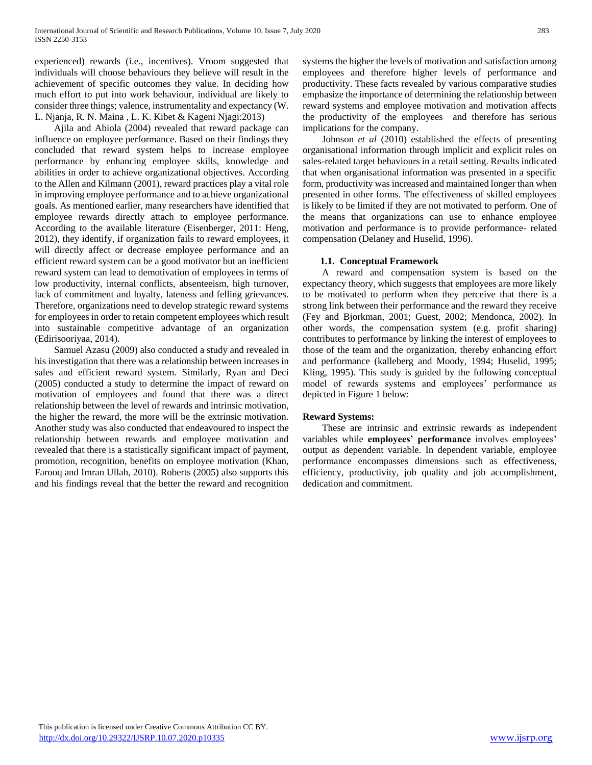experienced) rewards (i.e., incentives). Vroom suggested that individuals will choose behaviours they believe will result in the achievement of specific outcomes they value. In deciding how much effort to put into work behaviour, individual are likely to consider three things; valence, instrumentality and expectancy (W. L. Njanja, R. N. Maina , L. K. Kibet & Kageni Njagi:2013)

 Ajila and Abiola (2004) revealed that reward package can influence on employee performance. Based on their findings they concluded that reward system helps to increase employee performance by enhancing employee skills, knowledge and abilities in order to achieve organizational objectives. According to the Allen and Kilmann (2001), reward practices play a vital role in improving employee performance and to achieve organizational goals. As mentioned earlier, many researchers have identified that employee rewards directly attach to employee performance. According to the available literature (Eisenberger, 2011: Heng, 2012), they identify, if organization fails to reward employees, it will directly affect or decrease employee performance and an efficient reward system can be a good motivator but an inefficient reward system can lead to demotivation of employees in terms of low productivity, internal conflicts, absenteeism, high turnover, lack of commitment and loyalty, lateness and felling grievances. Therefore, organizations need to develop strategic reward systems for employees in order to retain competent employees which result into sustainable competitive advantage of an organization (Edirisooriyaa, 2014).

 Samuel Azasu (2009) also conducted a study and revealed in his investigation that there was a relationship between increases in sales and efficient reward system. Similarly, Ryan and Deci (2005) conducted a study to determine the impact of reward on motivation of employees and found that there was a direct relationship between the level of rewards and intrinsic motivation, the higher the reward, the more will be the extrinsic motivation. Another study was also conducted that endeavoured to inspect the relationship between rewards and employee motivation and revealed that there is a statistically significant impact of payment, promotion, recognition, benefits on employee motivation (Khan, Farooq and Imran Ullah, 2010). Roberts (2005) also supports this and his findings reveal that the better the reward and recognition systems the higher the levels of motivation and satisfaction among employees and therefore higher levels of performance and productivity. These facts revealed by various comparative studies emphasize the importance of determining the relationship between reward systems and employee motivation and motivation affects the productivity of the employees and therefore has serious implications for the company.

 Johnson *et al* (2010) established the effects of presenting organisational information through implicit and explicit rules on sales-related target behaviours in a retail setting. Results indicated that when organisational information was presented in a specific form, productivity was increased and maintained longer than when presented in other forms. The effectiveness of skilled employees is likely to be limited if they are not motivated to perform. One of the means that organizations can use to enhance employee motivation and performance is to provide performance- related compensation (Delaney and Huselid, 1996).

#### **1.1. Conceptual Framework**

 A reward and compensation system is based on the expectancy theory, which suggests that employees are more likely to be motivated to perform when they perceive that there is a strong link between their performance and the reward they receive (Fey and Bjorkman, 2001; Guest, 2002; Mendonca, 2002). In other words, the compensation system (e.g. profit sharing) contributes to performance by linking the interest of employees to those of the team and the organization, thereby enhancing effort and performance (kalleberg and Moody, 1994; Huselid, 1995; Kling, 1995). This study is guided by the following conceptual model of rewards systems and employees' performance as depicted in Figure 1 below:

#### **Reward Systems:**

 These are intrinsic and extrinsic rewards as independent variables while **employees' performance** involves employees' output as dependent variable. In dependent variable, employee performance encompasses dimensions such as effectiveness, efficiency, productivity, job quality and job accomplishment, dedication and commitment.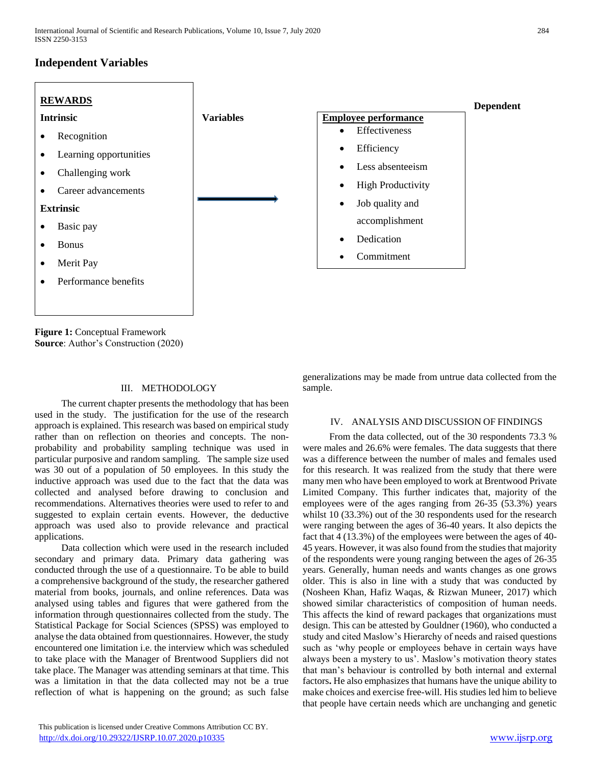# **Independent Variables**



**Figure 1:** Conceptual Framework **Source**: Author's Construction (2020)

#### III. METHODOLOGY

 The current chapter presents the methodology that has been used in the study. The justification for the use of the research approach is explained. This research was based on empirical study rather than on reflection on theories and concepts. The nonprobability and probability sampling technique was used in particular purposive and random sampling. The sample size used was 30 out of a population of 50 employees. In this study the inductive approach was used due to the fact that the data was collected and analysed before drawing to conclusion and recommendations. Alternatives theories were used to refer to and suggested to explain certain events. However, the deductive approach was used also to provide relevance and practical applications.

 Data collection which were used in the research included secondary and primary data. Primary data gathering was conducted through the use of a questionnaire. To be able to build a comprehensive background of the study, the researcher gathered material from books, journals, and online references. Data was analysed using tables and figures that were gathered from the information through questionnaires collected from the study. The Statistical Package for Social Sciences (SPSS) was employed to analyse the data obtained from questionnaires. However, the study encountered one limitation i.e. the interview which was scheduled to take place with the Manager of Brentwood Suppliers did not take place. The Manager was attending seminars at that time. This was a limitation in that the data collected may not be a true reflection of what is happening on the ground; as such false

generalizations may be made from untrue data collected from the sample.

#### IV. ANALYSIS AND DISCUSSION OF FINDINGS

 From the data collected, out of the 30 respondents 73.3 % were males and 26.6% were females. The data suggests that there was a difference between the number of males and females used for this research. It was realized from the study that there were many men who have been employed to work at Brentwood Private Limited Company. This further indicates that, majority of the employees were of the ages ranging from 26-35 (53.3%) years whilst 10 (33.3%) out of the 30 respondents used for the research were ranging between the ages of 36-40 years. It also depicts the fact that 4 (13.3%) of the employees were between the ages of 40- 45 years. However, it was also found from the studies that majority of the respondents were young ranging between the ages of 26-35 years. Generally, human needs and wants changes as one grows older. This is also in line with a study that was conducted by (Nosheen Khan, Hafiz Waqas, & Rizwan Muneer, 2017) which showed similar characteristics of composition of human needs. This affects the kind of reward packages that organizations must design. This can be attested by Gouldner (1960), who conducted a study and cited Maslow's Hierarchy of needs and raised questions such as 'why people or employees behave in certain ways have always been a mystery to us'. Maslow's motivation theory states that man's behaviour is controlled by both internal and external factors**.** He also emphasizes that humans have the unique ability to make choices and exercise free-will. His studies led him to believe that people have certain needs which are unchanging and genetic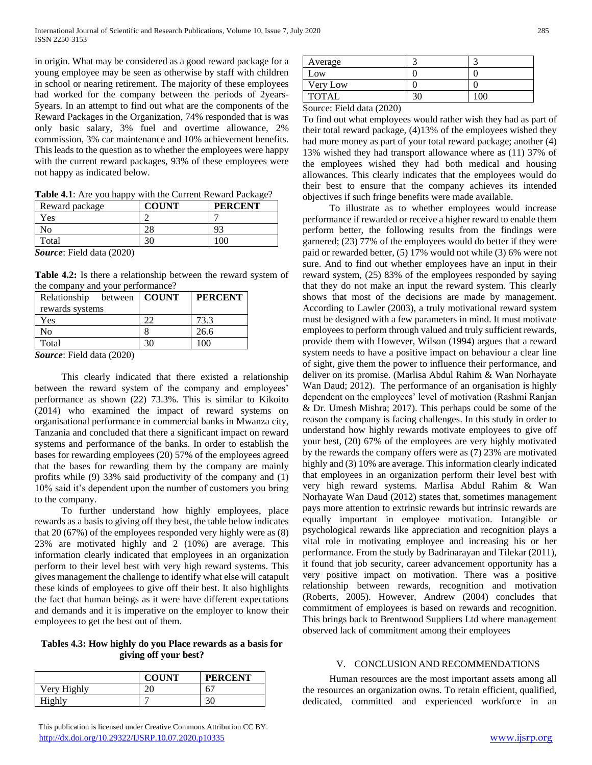in origin. What may be considered as a good reward package for a young employee may be seen as otherwise by staff with children in school or nearing retirement. The majority of these employees had worked for the company between the periods of 2years-5years. In an attempt to find out what are the components of the Reward Packages in the Organization, 74% responded that is was only basic salary, 3% fuel and overtime allowance, 2% commission, 3% car maintenance and 10% achievement benefits. This leads to the question as to whether the employees were happy with the current reward packages, 93% of these employees were not happy as indicated below.

**Table 4.1**: Are you happy with the Current Reward Package?

| Reward package                         | <b>COUNT</b> | <b>PERCENT</b> |
|----------------------------------------|--------------|----------------|
| Yes                                    |              |                |
| NO                                     |              |                |
| Total                                  |              |                |
| $C_{\text{source}}$ . E.11 J.c. (2020) |              |                |

*Source*: Field data (2020)

**Table 4.2:** Is there a relationship between the reward system of the company and your performance?

| Relationship between   COUNT |    | <b>PERCENT</b> |
|------------------------------|----|----------------|
| rewards systems              |    |                |
| Yes                          |    | 73.3           |
| No                           |    | 26.6           |
| Total                        | 30 | 100            |

*Source*: Field data (2020)

 This clearly indicated that there existed a relationship between the reward system of the company and employees' performance as shown (22) 73.3%. This is similar to Kikoito (2014) who examined the impact of reward systems on organisational performance in commercial banks in Mwanza city, Tanzania and concluded that there a significant impact on reward systems and performance of the banks. In order to establish the bases for rewarding employees (20) 57% of the employees agreed that the bases for rewarding them by the company are mainly profits while (9) 33% said productivity of the company and (1) 10% said it's dependent upon the number of customers you bring to the company.

 To further understand how highly employees, place rewards as a basis to giving off they best, the table below indicates that 20 (67%) of the employees responded very highly were as (8) 23% are motivated highly and 2 (10%) are average. This information clearly indicated that employees in an organization perform to their level best with very high reward systems. This gives management the challenge to identify what else will catapult these kinds of employees to give off their best. It also highlights the fact that human beings as it were have different expectations and demands and it is imperative on the employer to know their employees to get the best out of them.

#### **Tables 4.3: How highly do you Place rewards as a basis for giving off your best?**

|             | <b>COUNT</b> | <b>PERCENT</b> |
|-------------|--------------|----------------|
| Very Highly | ٦í           | 6 <sup>7</sup> |
| Highly      |              | 30             |

 This publication is licensed under Creative Commons Attribution CC BY. <http://dx.doi.org/10.29322/IJSRP.10.07.2020.p10335> [www.ijsrp.org](http://ijsrp.org/)

| Average      |  |
|--------------|--|
| Low          |  |
| Very Low     |  |
| <b>TOTAL</b> |  |

Source: Field data (2020)

To find out what employees would rather wish they had as part of their total reward package, (4)13% of the employees wished they had more money as part of your total reward package; another (4) 13% wished they had transport allowance where as (11) 37% of the employees wished they had both medical and housing allowances. This clearly indicates that the employees would do their best to ensure that the company achieves its intended objectives if such fringe benefits were made available.

 To illustrate as to whether employees would increase performance if rewarded or receive a higher reward to enable them perform better, the following results from the findings were garnered; (23) 77% of the employees would do better if they were paid or rewarded better, (5) 17% would not while (3) 6% were not sure. And to find out whether employees have an input in their reward system, (25) 83% of the employees responded by saying that they do not make an input the reward system. This clearly shows that most of the decisions are made by management. According to Lawler (2003), a truly motivational reward system must be designed with a few parameters in mind. It must motivate employees to perform through valued and truly sufficient rewards, provide them with However, Wilson (1994) argues that a reward system needs to have a positive impact on behaviour a clear line of sight, give them the power to influence their performance, and deliver on its promise. (Marlisa Abdul Rahim & Wan Norhayate Wan Daud; 2012). The performance of an organisation is highly dependent on the employees' level of motivation (Rashmi Ranjan & Dr. Umesh Mishra; 2017). This perhaps could be some of the reason the company is facing challenges. In this study in order to understand how highly rewards motivate employees to give off your best, (20) 67% of the employees are very highly motivated by the rewards the company offers were as (7) 23% are motivated highly and (3) 10% are average. This information clearly indicated that employees in an organization perform their level best with very high reward systems*.* Marlisa Abdul Rahim & Wan Norhayate Wan Daud (2012) states that, sometimes management pays more attention to extrinsic rewards but intrinsic rewards are equally important in employee motivation. Intangible or psychological rewards like appreciation and recognition plays a vital role in motivating employee and increasing his or her performance. From the study by Badrinarayan and Tilekar (2011), it found that job security, career advancement opportunity has a very positive impact on motivation. There was a positive relationship between rewards, recognition and motivation (Roberts, 2005). However, Andrew (2004) concludes that commitment of employees is based on rewards and recognition*.*  This brings back to Brentwood Suppliers Ltd where management observed lack of commitment among their employees

#### V. CONCLUSION AND RECOMMENDATIONS

 Human resources are the most important assets among all the resources an organization owns. To retain efficient, qualified, dedicated, committed and experienced workforce in an